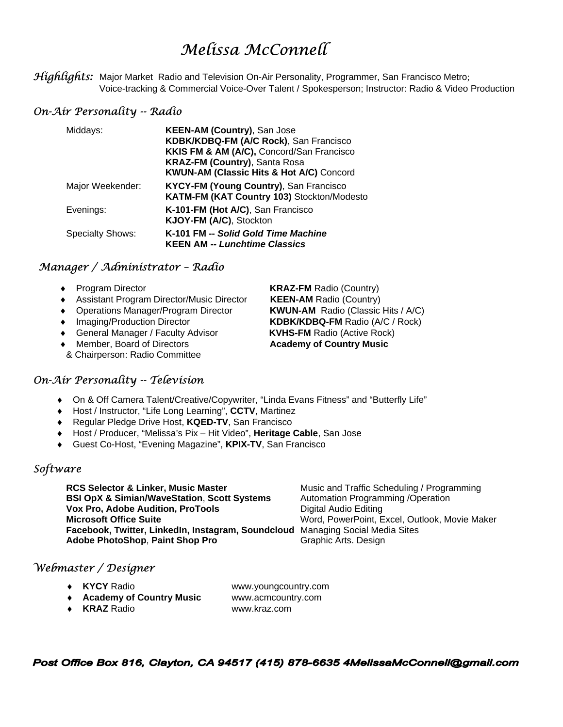# *Melissa McConnell*

*Highlights:* Major Market Radio and Television On-Air Personality, Programmer, San Francisco Metro; Voice-tracking & Commercial Voice-Over Talent / Spokesperson; Instructor: Radio & Video Production

# *On-Air Personality -- Radio*

| Middays:                | <b>KEEN-AM (Country), San Jose</b><br>KDBK/KDBQ-FM (A/C Rock), San Francisco<br>KKIS FM & AM (A/C), Concord/San Francisco<br><b>KRAZ-FM (Country), Santa Rosa</b><br><b>KWUN-AM (Classic Hits &amp; Hot A/C) Concord</b> |
|-------------------------|--------------------------------------------------------------------------------------------------------------------------------------------------------------------------------------------------------------------------|
| Major Weekender:        | <b>KYCY-FM (Young Country), San Francisco</b><br>KATM-FM (KAT Country 103) Stockton/Modesto                                                                                                                              |
| Evenings:               | K-101-FM (Hot A/C), San Francisco<br>KJOY-FM (A/C), Stockton                                                                                                                                                             |
| <b>Specialty Shows:</b> | K-101 FM -- Solid Gold Time Machine<br><b>KEEN AM -- Lunchtime Classics</b>                                                                                                                                              |

# *Manager / Administrator – Radio*

- 
- ♦ Assistant Program Director/Music Director **KEEN-AM** Radio (Country)
- ♦ Operations Manager/Program Director **KWUN-AM** Radio (Classic Hits / A/C)
- 
- ♦ General Manager / Faculty Advisor **KVHS-FM** Radio (Active Rock)
- ♦ Member, Board of Directors **Academy of Country Music**
- & Chairperson: Radio Committee

# *On-Air Personality -- Television*

- ♦ On & Off Camera Talent/Creative/Copywriter, "Linda Evans Fitness" and "Butterfly Life"
- ♦ Host / Instructor, "Life Long Learning", **CCTV**, Martinez
- ♦ Regular Pledge Drive Host, **KQED-TV**, San Francisco
- ♦ Host / Producer, "Melissa's Pix Hit Video", **Heritage Cable**, San Jose
- ♦ Guest Co-Host, "Evening Magazine", **KPIX-TV**, San Francisco

## *Software*

**RCS Selector & Linker, Music Master <b>Music Additional** Music and Traffic Scheduling / Programming **BSI OpX & Simian/WaveStation, Scott Systems** Automation Programming /Operation **Vox Pro, Adobe Audition, ProTools Digital Audio Editing** Microsoft Office Suite **Microsoft Office Suite Word, PowerPoint, Excel, Outlook, Movie Maker Facebook, Twitter, LinkedIn, Instagram, Soundcloud** Managing Social Media Sites **Adobe PhotoShop, Paint Shop Pro** Graphic Arts. Design

## *Webmaster / Designer*

- ♦ **KYCY** Radio www.youngcountry.com
- ♦ **Academy of Country Music** www.acmcountry.com
- ♦ **KRAZ** Radio www.kraz.com

Post Office Box 816, Clayton, CA 94517 (415) 878-6635 4MelissaMcConnell@gmail.com

♦ Program Director **KRAZ-FM** Radio (Country) ♦ Imaging/Production Director **KDBK/KDBQ-FM** Radio (A/C / Rock)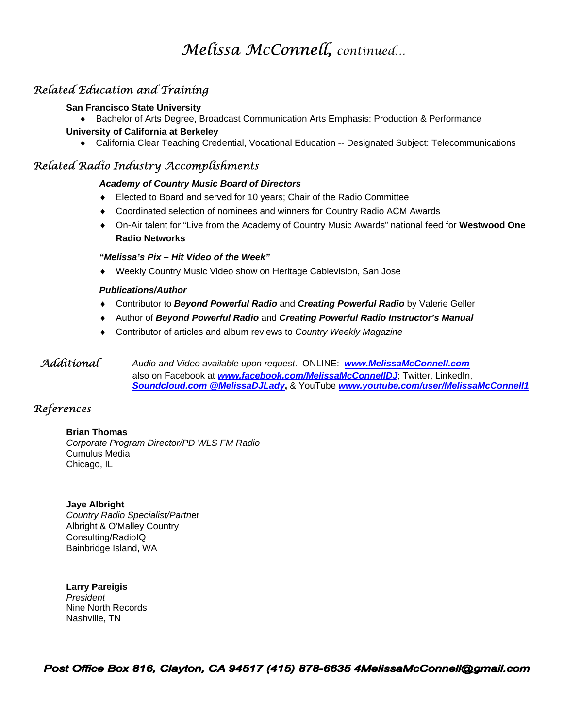# *Melissa McConnell, continued…*

# *Related Education and Training*

#### **San Francisco State University**

♦ Bachelor of Arts Degree, Broadcast Communication Arts Emphasis: Production & Performance

#### **University of California at Berkeley**

♦ California Clear Teaching Credential, Vocational Education -- Designated Subject: Telecommunications

# *Related Radio Industry Accomplishments*

#### *Academy of Country Music Board of Directors*

- ♦ Elected to Board and served for 10 years; Chair of the Radio Committee
- ♦ Coordinated selection of nominees and winners for Country Radio ACM Awards
- ♦ On-Air talent for "Live from the Academy of Country Music Awards" national feed for **Westwood One Radio Networks**

#### *"Melissa's Pix – Hit Video of the Week"*

Weekly Country Music Video show on Heritage Cablevision, San Jose

#### *Publications/Author*

- ♦ Contributor to *Beyond Powerful Radio* and *Creating Powerful Radio* by Valerie Geller
- ♦ Author of *Beyond Powerful Radio* and *Creating Powerful Radio Instructor's Manual*
- ♦ Contributor of articles and album reviews to *Country Weekly Magazine*

#### *Additional Audio and Video available upon request*. ONLINE: *www.MelissaMcConnell.com* also on Facebook at *www.facebook.com/MelissaMcConnellDJ*; Twitter, LinkedIn, *Soundcloud.com @MelissaDJLady***,** & YouTube *www.youtube.com/user/MelissaMcConnell1*

## *References*

#### **Brian Thomas**

*Corporate Program Director/PD WLS FM Radio*  Cumulus Media Chicago, IL

#### **Jaye Albright**

*Country Radio Specialist/Partn*er Albright & O'Malley Country Consulting/RadioIQ Bainbridge Island, WA

**Larry Pareigis**  *President*  Nine North Records Nashville, TN

Post Office Box 816, Clayton, CA 94517 (415) 878-6635 4MelissaMcConnell@gmail.com